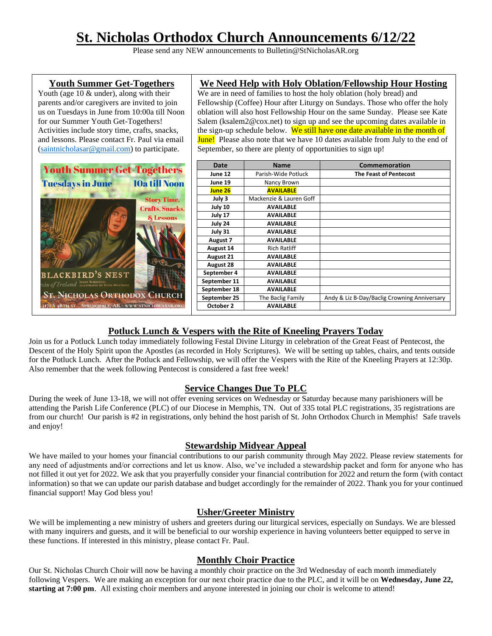# **St. Nicholas Orthodox Church Announcements 6/12/22**

Please send any NEW announcements to Bulletin@StNicholasAR.org



# **Potluck Lunch & Vespers with the Rite of Kneeling Prayers Today**

Join us for a Potluck Lunch today immediately following Festal Divine Liturgy in celebration of the Great Feast of Pentecost, the Descent of the Holy Spirit upon the Apostles (as recorded in Holy Scriptures). We will be setting up tables, chairs, and tents outside for the Potluck Lunch. After the Potluck and Fellowship, we will offer the Vespers with the Rite of the Kneeling Prayers at 12:30p. Also remember that the week following Pentecost is considered a fast free week!

## **Service Changes Due To PLC**

During the week of June 13-18, we will not offer evening services on Wednesday or Saturday because many parishioners will be attending the Parish Life Conference (PLC) of our Diocese in Memphis, TN. Out of 335 total PLC registrations, 35 registrations are from our church! Our parish is #2 in registrations, only behind the host parish of St. John Orthodox Church in Memphis! Safe travels and enjoy!

## **Stewardship Midyear Appeal**

We have mailed to your homes your financial contributions to our parish community through May 2022. Please review statements for any need of adjustments and/or corrections and let us know. Also, we've included a stewardship packet and form for anyone who has not filled it out yet for 2022. We ask that you prayerfully consider your financial contribution for 2022 and return the form (with contact information) so that we can update our parish database and budget accordingly for the remainder of 2022. Thank you for your continued financial support! May God bless you!

# **Usher/Greeter Ministry**

We will be implementing a new ministry of ushers and greeters during our liturgical services, especially on Sundays. We are blessed with many inquirers and guests, and it will be beneficial to our worship experience in having volunteers better equipped to serve in these functions. If interested in this ministry, please contact Fr. Paul.

## **Monthly Choir Practice**

Our St. Nicholas Church Choir will now be having a monthly choir practice on the 3rd Wednesday of each month immediately following Vespers. We are making an exception for our next choir practice due to the PLC, and it will be on **Wednesday, June 22, starting at 7:00 pm**. All existing choir members and anyone interested in joining our choir is welcome to attend!

## **Youth Summer Get-Togethers**